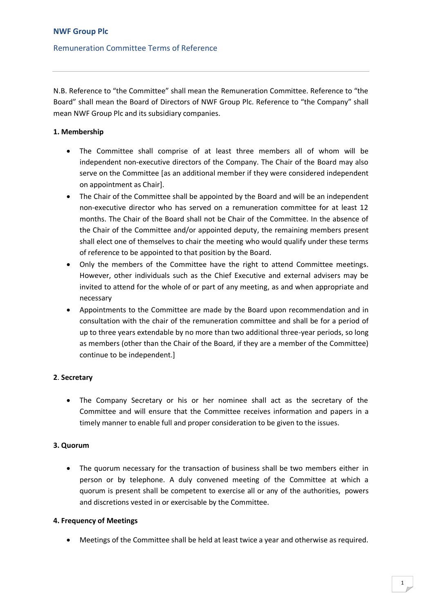### **NWF Group Plc**

### Remuneration Committee Terms of Reference

N.B. Reference to "the Committee" shall mean the Remuneration Committee. Reference to "the Board" shall mean the Board of Directors of NWF Group Plc. Reference to "the Company" shall mean NWF Group Plc and its subsidiary companies.

#### **1. Membership**

- The Committee shall comprise of at least three members all of whom will be independent non-executive directors of the Company. The Chair of the Board may also serve on the Committee [as an additional member if they were considered independent on appointment as Chair].
- The Chair of the Committee shall be appointed by the Board and will be an independent non-executive director who has served on a remuneration committee for at least 12 months. The Chair of the Board shall not be Chair of the Committee. In the absence of the Chair of the Committee and/or appointed deputy, the remaining members present shall elect one of themselves to chair the meeting who would qualify under these terms of reference to be appointed to that position by the Board.
- Only the members of the Committee have the right to attend Committee meetings. However, other individuals such as the Chief Executive and external advisers may be invited to attend for the whole of or part of any meeting, as and when appropriate and necessary
- Appointments to the Committee are made by the Board upon recommendation and in consultation with the chair of the remuneration committee and shall be for a period of up to three years extendable by no more than two additional three-year periods, so long as members (other than the Chair of the Board, if they are a member of the Committee) continue to be independent.]

#### **2**. **Secretary**

• The Company Secretary or his or her nominee shall act as the secretary of the Committee and will ensure that the Committee receives information and papers in a timely manner to enable full and proper consideration to be given to the issues.

#### **3. Quorum**

• The quorum necessary for the transaction of business shall be two members either in person or by telephone. A duly convened meeting of the Committee at which a quorum is present shall be competent to exercise all or any of the authorities, powers and discretions vested in or exercisable by the Committee.

#### **4. Frequency of Meetings**

• Meetings of the Committee shall be held at least twice a year and otherwise as required.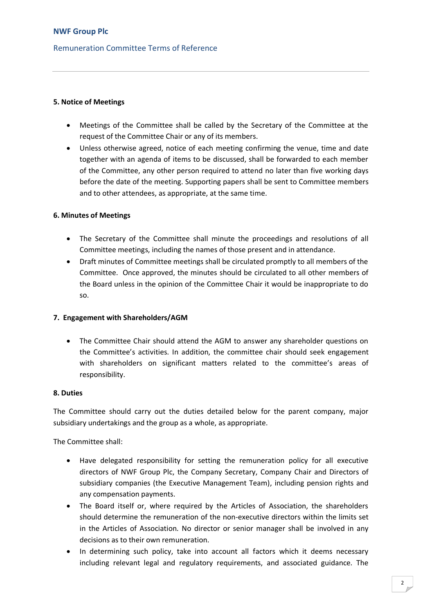# Remuneration Committee Terms of Reference

### **5. Notice of Meetings**

- Meetings of the Committee shall be called by the Secretary of the Committee at the request of the Committee Chair or any of its members.
- Unless otherwise agreed, notice of each meeting confirming the venue, time and date together with an agenda of items to be discussed, shall be forwarded to each member of the Committee, any other person required to attend no later than five working days before the date of the meeting. Supporting papers shall be sent to Committee members and to other attendees, as appropriate, at the same time.

#### **6. Minutes of Meetings**

- The Secretary of the Committee shall minute the proceedings and resolutions of all Committee meetings, including the names of those present and in attendance.
- Draft minutes of Committee meetings shall be circulated promptly to all members of the Committee. Once approved, the minutes should be circulated to all other members of the Board unless in the opinion of the Committee Chair it would be inappropriate to do so.

#### **7. Engagement with Shareholders/AGM**

• The Committee Chair should attend the AGM to answer any shareholder questions on the Committee's activities. In addition, the committee chair should seek engagement with shareholders on significant matters related to the committee's areas of responsibility.

#### **8. Duties**

The Committee should carry out the duties detailed below for the parent company, major subsidiary undertakings and the group as a whole, as appropriate.

The Committee shall:

- Have delegated responsibility for setting the remuneration policy for all executive directors of NWF Group Plc, the Company Secretary, Company Chair and Directors of subsidiary companies (the Executive Management Team), including pension rights and any compensation payments.
- The Board itself or, where required by the Articles of Association, the shareholders should determine the remuneration of the non-executive directors within the limits set in the Articles of Association. No director or senior manager shall be involved in any decisions as to their own remuneration.
- In determining such policy, take into account all factors which it deems necessary including relevant legal and regulatory requirements, and associated guidance. The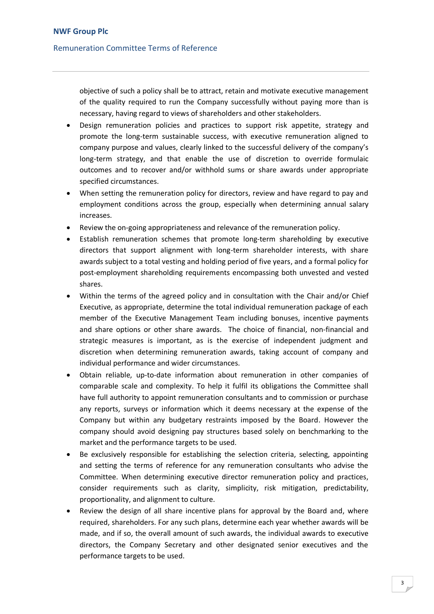### Remuneration Committee Terms of Reference

objective of such a policy shall be to attract, retain and motivate executive management of the quality required to run the Company successfully without paying more than is necessary, having regard to views of shareholders and other stakeholders.

- Design remuneration policies and practices to support risk appetite, strategy and promote the long-term sustainable success, with executive remuneration aligned to company purpose and values, clearly linked to the successful delivery of the company's long-term strategy, and that enable the use of discretion to override formulaic outcomes and to recover and/or withhold sums or share awards under appropriate specified circumstances.
- When setting the remuneration policy for directors, review and have regard to pay and employment conditions across the group, especially when determining annual salary increases.
- Review the on-going appropriateness and relevance of the remuneration policy.
- Establish remuneration schemes that promote long-term shareholding by executive directors that support alignment with long-term shareholder interests, with share awards subject to a total vesting and holding period of five years, and a formal policy for post-employment shareholding requirements encompassing both unvested and vested shares.
- Within the terms of the agreed policy and in consultation with the Chair and/or Chief Executive, as appropriate, determine the total individual remuneration package of each member of the Executive Management Team including bonuses, incentive payments and share options or other share awards. The choice of financial, non-financial and strategic measures is important, as is the exercise of independent judgment and discretion when determining remuneration awards, taking account of company and individual performance and wider circumstances.
- Obtain reliable, up-to-date information about remuneration in other companies of comparable scale and complexity. To help it fulfil its obligations the Committee shall have full authority to appoint remuneration consultants and to commission or purchase any reports, surveys or information which it deems necessary at the expense of the Company but within any budgetary restraints imposed by the Board. However the company should avoid designing pay structures based solely on benchmarking to the market and the performance targets to be used.
- Be exclusively responsible for establishing the selection criteria, selecting, appointing and setting the terms of reference for any remuneration consultants who advise the Committee. When determining executive director remuneration policy and practices, consider requirements such as clarity, simplicity, risk mitigation, predictability, proportionality, and alignment to culture.
- Review the design of all share incentive plans for approval by the Board and, where required, shareholders. For any such plans, determine each year whether awards will be made, and if so, the overall amount of such awards, the individual awards to executive directors, the Company Secretary and other designated senior executives and the performance targets to be used.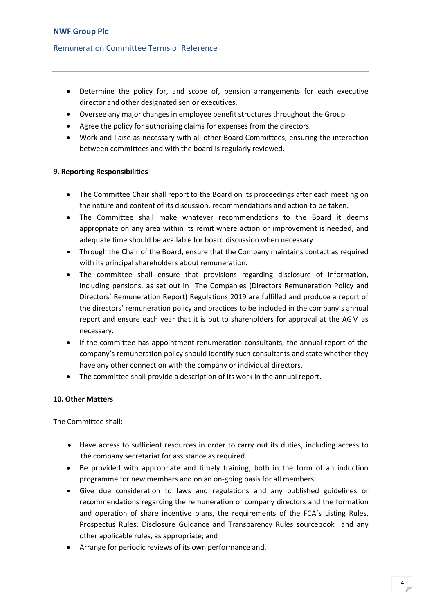## Remuneration Committee Terms of Reference

- Determine the policy for, and scope of, pension arrangements for each executive director and other designated senior executives.
- Oversee any major changes in employee benefit structures throughout the Group.
- Agree the policy for authorising claims for expenses from the directors.
- Work and liaise as necessary with all other Board Committees, ensuring the interaction between committees and with the board is regularly reviewed.

#### **9. Reporting Responsibilities**

- The Committee Chair shall report to the Board on its proceedings after each meeting on the nature and content of its discussion, recommendations and action to be taken.
- The Committee shall make whatever recommendations to the Board it deems appropriate on any area within its remit where action or improvement is needed, and adequate time should be available for board discussion when necessary.
- Through the Chair of the Board, ensure that the Company maintains contact as required with its principal shareholders about remuneration.
- The committee shall ensure that provisions regarding disclosure of information, including pensions, as set out in The Companies (Directors Remuneration Policy and Directors' Remuneration Report) Regulations 2019 are fulfilled and produce a report of the directors' remuneration policy and practices to be included in the company's annual report and ensure each year that it is put to shareholders for approval at the AGM as necessary.
- If the committee has appointment renumeration consultants, the annual report of the company's remuneration policy should identify such consultants and state whether they have any other connection with the company or individual directors.
- The committee shall provide a description of its work in the annual report.

#### **10. Other Matters**

The Committee shall:

- Have access to sufficient resources in order to carry out its duties, including access to the company secretariat for assistance as required.
- Be provided with appropriate and timely training, both in the form of an induction programme for new members and on an on-going basis for all members.
- Give due consideration to laws and regulations and any published guidelines or recommendations regarding the remuneration of company directors and the formation and operation of share incentive plans, the requirements of the FCA's Listing Rules, Prospectus Rules, Disclosure Guidance and Transparency Rules sourcebook and any other applicable rules, as appropriate; and
- Arrange for periodic reviews of its own performance and,